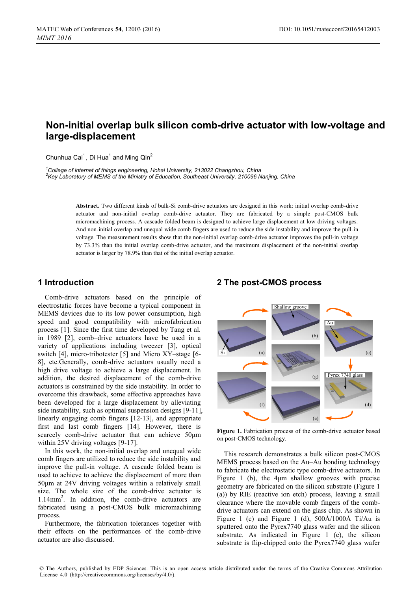# **Non-initial overlap bulk silicon comb-drive actuator with low-voltage and large-displacement**

Chunhua Cai<sup>1</sup>, Di Hua<sup>1</sup> and Ming Qin<sup>2</sup>

*1 College of internet of things engineering, Hohai University, 213022 Changzhou, China 2* <sup>2</sup>Key Laboratory of MEMS of the Ministry of Education, Southeast University, 210096 Nanjing, China

> **Abstract.** Two different kinds of bulk-Si comb-drive actuators are designed in this work: initial overlap comb-drive actuator and non-initial overlap comb-drive actuator. They are fabricated by a simple post-CMOS bulk micromachining process. A cascade folded beam is designed to achieve large displacement at low driving voltages. And non-initial overlap and unequal wide comb fingers are used to reduce the side instability and improve the pull-in voltage. The measurement results show that the non-initial overlap comb-drive actuator improves the pull-in voltage by 73.3% than the initial overlap comb-drive actuator, and the maximum displacement of the non-initial overlap actuator is larger by 78.9% than that of the initial overlap actuator.

## **1 Introduction**

Comb-drive actuators based on the principle of electrostatic forces have become a typical component in MEMS devices due to its low power consumption, high speed and good compatibility with microfabrication process [1]. Since the first time developed by Tang et al. in 1989 [2], comb–drive actuators have be used in a variety of applications including tweezer [3], optical switch [4], micro-tribotester [5] and Micro XY–stage [6- 8], etc.Generally, comb-drive actuators usually need a high drive voltage to achieve a large displacement. In addition, the desired displacement of the comb-drive actuators is constrained by the side instability. In order to overcome this drawback, some effective approaches have been developed for a large displacement by alleviating side instability, such as optimal suspension designs [9-11], linearly engaging comb fingers [12-13], and appropriate first and last comb fingers [14]. However, there is scarcely comb-drive actuator that can achieve 50μm within 25V driving voltages [9-17].

In this work, the non-initial overlap and unequal wide comb fingers are utilized to reduce the side instability and improve the pull-in voltage. A cascade folded beam is used to achieve to achieve the displacement of more than 50μm at 24V driving voltages within a relatively small size. The whole size of the comb-drive actuator is 1.14mm2 . In addition, the comb-drive actuators are fabricated using a post-CMOS bulk micromachining process.

Furthermore, the fabrication tolerances together with their effects on the performances of the comb-drive actuator are also discussed.

### **2 The post-CMOS process**



**Figure 1.** Fabrication process of the comb-drive actuator based on post-CMOS technology.

This research demonstrates a bulk silicon post-CMOS MEMS process based on the Au–Au bonding technology to fabricate the electrostatic type comb-drive actuators. In Figure 1 (b), the 4μm shallow grooves with precise geometry are fabricated on the silicon substrate (Figure 1 (a)) by RIE (reactive ion etch) process, leaving a small clearance where the movable comb fingers of the combdrive actuators can extend on the glass chip. As shown in Figure 1 (c) and Figure 1 (d), 500Å/1000Å Ti/Au is sputtered onto the Pyrex7740 glass wafer and the silicon substrate. As indicated in Figure 1 (e), the silicon substrate is flip-chipped onto the Pyrex7740 glass wafer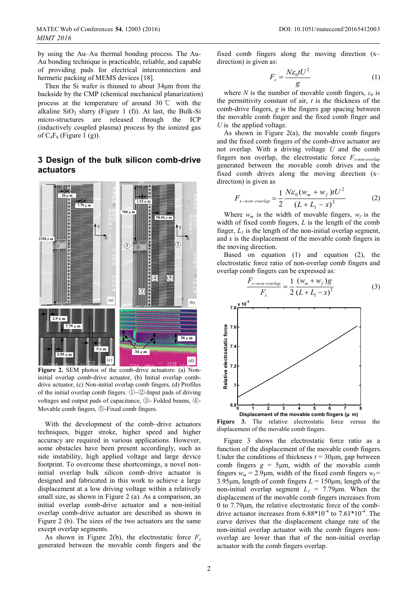by using the Au–Au thermal bonding process. The Au-Au bonding technique is practicable, reliable, and capable of providing pads for electrical interconnection and hermetic packing of MEMS devices [18].

Then the Si wafer is thinned to about 34μm from the backside by the CMP (chemical mechanical planarization) process at the temperature of around 30  $\degree$  with the alkaline  $SiO<sub>2</sub>$  slurry (Figure 1 (f)). At last, the Bulk-Si micro-structures are released through the ICP (inductively coupled plasma) process by the ionized gas of  $C_4F_8$  (Figure 1 (g)).

## **3 Design of the bulk silicon comb-drive actuators**



Figure 2. SEM photos of the comb-drive actuators: (a) Noninitial overlap comb-drive actuator, (b) Initial overlap combdrive actuator, (c) Non-initial overlap comb fingers, (d) Profiles of the initial overlap comb fingers.  $\textcircled{1}\textcircled{2}$ -Input pads of driving voltages and output pads of capacitance,  $\circledS$ - Folded beams,  $\circledA$ -Movable comb fingers,  $\circledS$ -Fixed comb fingers.

With the development of the comb–drive actuators techniques, bigger stroke, higher speed and higher accuracy are required in various applications. However, some obstacles have been present accordingly, such as side instability, high applied voltage and large device footprint. To overcome these shortcomings, a novel noninitial overlap bulk silicon comb–drive actuator is designed and fabricated in this work to achieve a large displacement at a low driving voltage within a relatively small size, as shown in Figure 2 (a). As a comparison, an initial overlap comb-drive actuator and a non-initial overlap comb-drive actuator are described as shown in Figure 2 (b). The sizes of the two actuators are the same except overlap segments.

As shown in Figure 2(b), the electrostatic force  $F<sub>x</sub>$ generated between the movable comb fingers and the

fixed comb fingers along the moving direction (x– direction) is given as:

$$
F_x = \frac{N\varepsilon_0 t U^2}{g} \tag{1}
$$

where *N* is the number of movable comb fingers,  $\varepsilon_0$  is the permittivity constant of air, *t* is the thickness of the comb-drive fingers, *g* is the fingers gap spacing between the movable comb finger and the fixed comb finger and *U* is the applied voltage.

As shown in Figure 2(a), the movable comb fingers and the fixed comb fingers of the comb-drive actuator are not overlap. With a driving voltage *U* and the comb fingers non overlap, the electrostatic force *Fx-non-overlap* generated between the movable comb drives and the fixed comb drives along the moving direction  $(x$ direction) is given as

$$
F_{x-non-overlap} = \frac{1}{2} \frac{N \varepsilon_0 (w_m + w_f) t U^2}{(L + L_1 - x)^2}
$$
 (2)

Where  $w_m$  is the width of movable fingers,  $w_f$  is the width of fixed comb fingers, *L* is the length of the comb finger,  $L_1$  is the length of the non-initial overlap segment, and  $x$  is the displacement of the movable comb fingers in the moving direction.

Based on equation (1) and equation (2), the electrostatic force ratio of non-overlap comb fingers and overlap comb fingers can be expressed as:

$$
\frac{F_{x\text{-non-overlap}}}{F_x} = \frac{1}{2} \frac{(w_m + w_f)g}{(L + L_1 - x)^2}
$$
(3)



**Displacement of the movable comb fingers (μ m) Figure 3.** The relative electrostatic force versus the displacement of the movable comb fingers.

Figure 3 shows the electrostatic force ratio as a function of the displacement of the movable comb fingers. Under the conditions of thickness  $t = 30 \mu m$ , gap between comb fingers  $g = 5 \mu m$ , width of the movable comb fingers  $w_m = 2.9 \mu m$ , width of the fixed comb fingers  $w_f$  = 3.95μm, length of comb fingers  $L = 150 \mu m$ , length of the non-initial overlap segment  $L_1 = 7.79 \mu m$ . When the displacement of the movable comb fingers increases from 0 to 7.79μm, the relative electrostatic force of the combdrive actuator increases from  $6.88*10^{-4}$  to  $7.61*10^{-4}$ . The curve derives that the displacement change rate of the non-initial overlap actuator with the comb fingers nonoverlap are lower than that of the non-initial overlap actuator with the comb fingers overlap.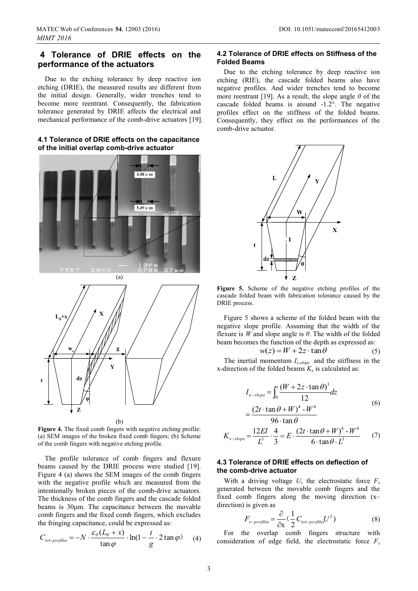## **4 Tolerance of DRIE effects on the performance of the actuators**

Due to the etching tolerance by deep reactive ion etching (DRIE), the measured results are different from the initial design. Generally, wider trenches tend to become more reentrant. Consequently, the fabrication tolerance generated by DRIE affects the electrical and mechanical performance of the comb-drive actuators [19].

#### **4.1 Tolerance of DRIE effects on the capacitance of the initial overlap comb-drive actuator**





(b)

**Figure 4.** The fixed comb fingers with negative etching profile: (a) SEM images of the broken fixed comb fingers; (b) Scheme of the comb fingers with negative etching profile.

The profile tolerance of comb fingers and flexure beams caused by the DRIE process were studied [19]. Figure 4 (a) shows the SEM images of the comb fingers with the negative profile which are measured from the intentionally broken pieces of the comb-drive actuators. The thickness of the comb fingers and the cascade folded beams is 30μm. The capacitance between the movable comb fingers and the fixed comb fingers, which excludes the fringing capacitance, could be expressed as:

$$
C_{\text{tot-profiles}} = -N \cdot \frac{\varepsilon_0 (L_0 + x)}{\tan \varphi} \cdot \ln(1 - \frac{t}{g} \cdot 2 \tan \varphi) \tag{4}
$$

#### **DOI:** 10.1051/matecconf/20165412003

#### **4.2 Tolerance of DRIE effects on Stiffness of the Folded Beams**

Due to the etching tolerance by deep reactive ion etching (RIE), the cascade folded beams also have negative profiles. And wider trenches tend to become more reentrant [19]. As a result, the slope angle *θ* of the cascade folded beams is around -1.2°. The negative profiles effect on the stiffness of the folded beams. Consequently, they effect on the performances of the comb-drive actuator.



**Figure 5.** Scheme of the negative etching profiles of the cascade folded beam with fabrication tolerance caused by the DRIE process.

Figure 5 shows a scheme of the folded beam with the negative slope profile. Assuming that the width of the flexure is *W* and slope angle is *θ*. The width of the folded beam becomes the function of the depth as expressed as:

$$
w(z) = W + 2z \cdot \tan \theta \tag{5}
$$

The inertial momentum  $I_{x-slope}$  and the stiffness in the x-direction of the folded beams  $K_x$  is calculated as:

$$
I_{x-slope} = \int_0^t \frac{(W + 2z \cdot \tan \theta)^3}{12} dz
$$
  
= 
$$
\frac{(2t \cdot \tan \theta + W)^4 - W^4}{12}
$$
 (6)

 $96 \cdot \tan \theta$ 

$$
K_{x-slope} = \frac{12EI}{L^3} \cdot \frac{4}{3} = E \cdot \frac{(2t \cdot \tan \theta + W)^4 - W^4}{6 \cdot \tan \theta \cdot L^3}
$$
 (7)

#### **4.3 Tolerance of DRIE effects on deflection of the comb-drive actuator**

With a driving voltage *U*, the electrostatic force  $F<sub>x</sub>$ generated between the movable comb fingers and the fixed comb fingers along the moving direction (x– direction) is given as

$$
F_{x-profiles} = \frac{\partial}{\partial x} \left( \frac{1}{2} C_{tot-profiles} U^2 \right)
$$
 (8)

For the overlap comb fingers structure with consideration of edge field, the electrostatic force  $F_x$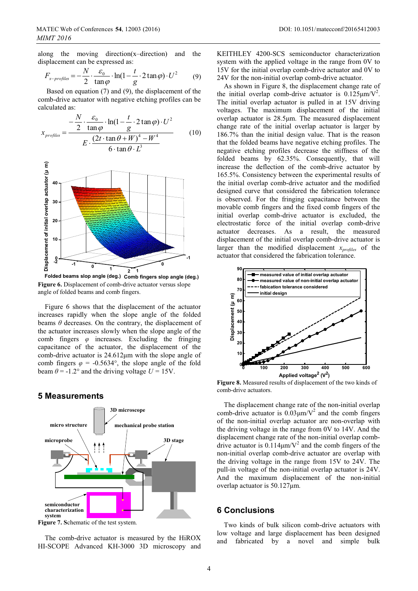along the moving direction(x–direction) and the displacement can be expressed as:

$$
F_{x-profiles} = -\frac{N}{2} \cdot \frac{\varepsilon_0}{\tan \varphi} \cdot \ln(1 - \frac{t}{g} \cdot 2 \tan \varphi) \cdot U^2 \tag{9}
$$

 Based on equation (7) and (9), the displacement of the comb-drive actuator with negative etching profiles can be calculated as:

$$
x_{\text{profiles}} = \frac{-\frac{N}{2} \cdot \frac{\varepsilon_0}{\tan \varphi} \cdot \ln(1 - \frac{t}{g} \cdot 2 \tan \varphi) \cdot U^2}{E \cdot \frac{(2t \cdot \tan \theta + W)^4 - W^4}{6 \cdot \tan \theta \cdot L^3}}
$$
(10)



**Figure 6.** Displacement of comb-drive actuator versus slope angle of folded beams and comb fingers.

Figure 6 shows that the displacement of the actuator increases rapidly when the slope angle of the folded beams  $\theta$  decreases. On the contrary, the displacement of the actuator increases slowly when the slope angle of the comb fingers *φ* increases. Excluding the fringing capacitance of the actuator, the displacement of the comb-drive actuator is 24.612μm with the slope angle of comb fingers  $\varphi = -0.5634^{\circ}$ , the slope angle of the fold beam  $\theta$  = -1.2° and the driving voltage  $U = 15V$ .

### **5 Measurements**



**Figure 7. S**chematic of the test system.

The comb-drive actuator is measured by the HiROX HI-SCOPE Advanced KH-3000 3D microscopy and

KEITHLEY 4200-SCS semiconductor characterization system with the applied voltage in the range from 0V to 15V for the initial overlap comb-drive actuator and 0V to 24V for the non-initial overlap comb-drive actuator.

As shown in Figure 8, the displacement change rate of the initial overlap comb-drive actuator is  $0.125 \mu m/V^2$ . The initial overlap actuator is pulled in at 15V driving voltages. The maximum displacement of the initial overlap actuator is 28.5μm. The measured displacement change rate of the initial overlap actuator is larger by 186.7% than the initial design value. That is the reason that the folded beams have negative etching profiles. The negative etching profiles decrease the stiffness of the folded beams by 62.35%. Consequently, that will increase the deflection of the comb-drive actuator by 165.5%. Consistency between the experimental results of the initial overlap comb-drive actuator and the modified designed curve that considered the fabrication tolerance is observed. For the fringing capacitance between the movable comb fingers and the fixed comb fingers of the initial overlap comb-drive actuator is excluded, the electrostatic force of the initial overlap comb-drive actuator decreases. As a result, the measured displacement of the initial overlap comb-drive actuator is larger than the modified displacement *xprofiles* of the actuator that considered the fabrication tolerance.



**Figure 8.** Measured results of displacement of the two kinds of comb-drive actuators.

The displacement change rate of the non-initial overlap comb-drive actuator is  $0.03 \mu m/V^2$  and the comb fingers of the non-initial overlap actuator are non-overlap with the driving voltage in the range from 0V to 14V. And the displacement change rate of the non-initial overlap combdrive actuator is  $0.114 \mu m/V^2$  and the comb fingers of the non-initial overlap comb-drive actuator are overlap with the driving voltage in the range from 15V to 24V. The pull-in voltage of the non-initial overlap actuator is 24V. And the maximum displacement of the non-initial overlap actuator is 50.127μm.

### **6 Conclusions**

Two kinds of bulk silicon comb-drive actuators with low voltage and large displacement has been designed and fabricated by a novel and simple bulk